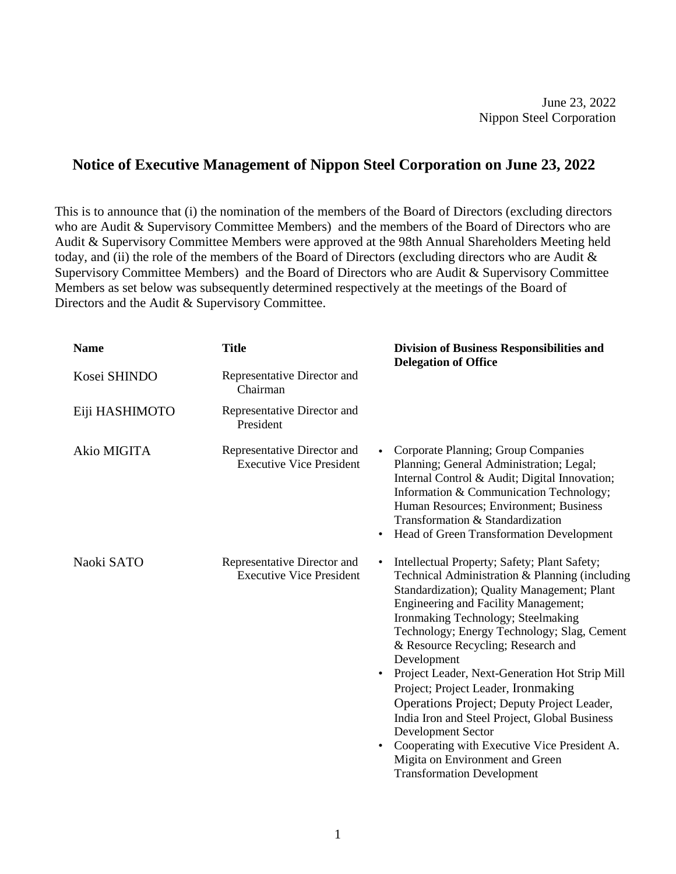June 23, 2022 Nippon Steel Corporation

## **Notice of Executive Management of Nippon Steel Corporation on June 23, 2022**

This is to announce that (i) the nomination of the members of the Board of Directors (excluding directors who are Audit & Supervisory Committee Members) and the members of the Board of Directors who are Audit & Supervisory Committee Members were approved at the 98th Annual Shareholders Meeting held today, and (ii) the role of the members of the Board of Directors (excluding directors who are Audit & Supervisory Committee Members) and the Board of Directors who are Audit & Supervisory Committee Members as set below was subsequently determined respectively at the meetings of the Board of Directors and the Audit & Supervisory Committee.

| <b>Name</b>    | <b>Title</b>                                                                             | <b>Division of Business Responsibilities and</b><br><b>Delegation of Office</b>                                                                                                                                                                                                                                                                                                                                                                                                                                                                                                                                                                                                           |
|----------------|------------------------------------------------------------------------------------------|-------------------------------------------------------------------------------------------------------------------------------------------------------------------------------------------------------------------------------------------------------------------------------------------------------------------------------------------------------------------------------------------------------------------------------------------------------------------------------------------------------------------------------------------------------------------------------------------------------------------------------------------------------------------------------------------|
| Kosei SHINDO   | Representative Director and<br>Chairman                                                  |                                                                                                                                                                                                                                                                                                                                                                                                                                                                                                                                                                                                                                                                                           |
| Eiji HASHIMOTO | Representative Director and<br>President                                                 |                                                                                                                                                                                                                                                                                                                                                                                                                                                                                                                                                                                                                                                                                           |
| Akio MIGITA    | Representative Director and<br>$\bullet$<br><b>Executive Vice President</b><br>$\bullet$ | Corporate Planning; Group Companies<br>Planning; General Administration; Legal;<br>Internal Control & Audit; Digital Innovation;<br>Information & Communication Technology;<br>Human Resources; Environment; Business<br>Transformation & Standardization<br>Head of Green Transformation Development                                                                                                                                                                                                                                                                                                                                                                                     |
| Naoki SATO     | Representative Director and<br>$\bullet$<br><b>Executive Vice President</b><br>$\bullet$ | Intellectual Property; Safety; Plant Safety;<br>Technical Administration & Planning (including<br>Standardization); Quality Management; Plant<br><b>Engineering and Facility Management;</b><br>Ironmaking Technology; Steelmaking<br>Technology; Energy Technology; Slag, Cement<br>& Resource Recycling; Research and<br>Development<br>Project Leader, Next-Generation Hot Strip Mill<br>$\bullet$<br>Project; Project Leader, Ironmaking<br>Operations Project; Deputy Project Leader,<br>India Iron and Steel Project, Global Business<br>Development Sector<br>Cooperating with Executive Vice President A.<br>Migita on Environment and Green<br><b>Transformation Development</b> |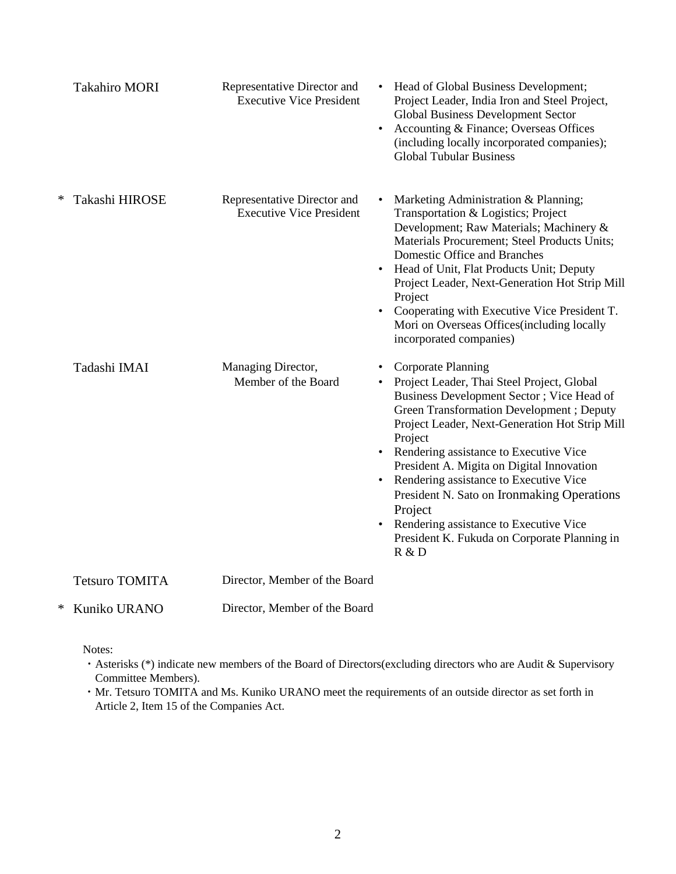|   | <b>Takahiro MORI</b>  | Representative Director and<br><b>Executive Vice President</b> | Head of Global Business Development;<br>Project Leader, India Iron and Steel Project,<br><b>Global Business Development Sector</b><br>Accounting & Finance; Overseas Offices<br>$\bullet$<br>(including locally incorporated companies);<br><b>Global Tubular Business</b>                                                                                                                                                                                                                                                                                           |
|---|-----------------------|----------------------------------------------------------------|----------------------------------------------------------------------------------------------------------------------------------------------------------------------------------------------------------------------------------------------------------------------------------------------------------------------------------------------------------------------------------------------------------------------------------------------------------------------------------------------------------------------------------------------------------------------|
| ∗ | Takashi HIROSE        | Representative Director and<br><b>Executive Vice President</b> | Marketing Administration & Planning;<br>Transportation & Logistics; Project<br>Development; Raw Materials; Machinery &<br>Materials Procurement; Steel Products Units;<br>Domestic Office and Branches<br>Head of Unit, Flat Products Unit; Deputy<br>$\bullet$<br>Project Leader, Next-Generation Hot Strip Mill<br>Project<br>Cooperating with Executive Vice President T.<br>Mori on Overseas Offices(including locally<br>incorporated companies)                                                                                                                |
|   | Tadashi IMAI          | Managing Director,<br>Member of the Board                      | <b>Corporate Planning</b><br>Project Leader, Thai Steel Project, Global<br>$\bullet$<br>Business Development Sector ; Vice Head of<br>Green Transformation Development; Deputy<br>Project Leader, Next-Generation Hot Strip Mill<br>Project<br>• Rendering assistance to Executive Vice<br>President A. Migita on Digital Innovation<br>Rendering assistance to Executive Vice<br>$\bullet$<br>President N. Sato on Ironmaking Operations<br>Project<br>Rendering assistance to Executive Vice<br>$\bullet$<br>President K. Fukuda on Corporate Planning in<br>R & D |
|   | <b>Tetsuro TOMITA</b> | Director, Member of the Board                                  |                                                                                                                                                                                                                                                                                                                                                                                                                                                                                                                                                                      |
| ∗ | Kuniko URANO          | Director, Member of the Board                                  |                                                                                                                                                                                                                                                                                                                                                                                                                                                                                                                                                                      |

Notes:

- ・Asterisks (\*) indicate new members of the Board of Directors(excluding directors who are Audit & Supervisory Committee Members).
- ・Mr. Tetsuro TOMITA and Ms. Kuniko URANO meet the requirements of an outside director as set forth in Article 2, Item 15 of the Companies Act.